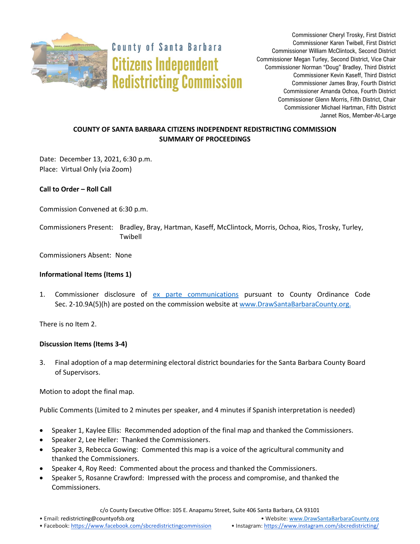

**County of Santa Barbara Citizens Independent Redistricting Commission** 

Commissioner Cheryl Trosky, First District Commissioner Karen Twibell, First District Commissioner William McClintock, Second District Commissioner Megan Turley, Second District, Vice Chair Commissioner Norman "Doug" Bradley, Third District Commissioner Kevin Kaseff, Third District Commissioner James Bray, Fourth District Commissioner Amanda Ochoa, Fourth District Commissioner Glenn Morris, Fifth District, Chair Commissioner Michael Hartman, Fifth District Jannet Rios, Member-At-Large

# **COUNTY OF SANTA BARBARA CITIZENS INDEPENDENT REDISTRICTING COMMISSION SUMMARY OF PROCEEDINGS**

Date: December 13, 2021, 6:30 p.m. Place: Virtual Only (via Zoom)

**Call to Order – Roll Call**

Commission Convened at 6:30 p.m.

Commissioners Present: Bradley, Bray, Hartman, Kaseff, McClintock, Morris, Ochoa, Rios, Trosky, Turley, Twibell

Commissioners Absent: None

## **Informational Items (Items 1)**

1. Commissioner disclosure of [ex parte communications](https://docs.google.com/spreadsheets/d/1zGO1NmeO_y9ohV2vMMFAtu6b3rVpIXViVtRool9dmBg/edit?usp=drive_web) pursuant to County Ordinance Code Sec. 2-10.9A(5)(h) are posted on the commission website at [www.DrawSantaBarbaraCounty.org.](https://drawsantabarbaracounty.org/)

There is no Item 2.

## **Discussion Items (Items 3-4)**

3. Final adoption of a map determining electoral district boundaries for the Santa Barbara County Board of Supervisors.

Motion to adopt the final map.

Public Comments (Limited to 2 minutes per speaker, and 4 minutes if Spanish interpretation is needed)

- Speaker 1, Kaylee Ellis: Recommended adoption of the final map and thanked the Commissioners.
- Speaker 2, Lee Heller: Thanked the Commissioners.
- Speaker 3, Rebecca Gowing: Commented this map is a voice of the agricultural community and thanked the Commissioners.
- Speaker 4, Roy Reed: Commented about the process and thanked the Commissioners.
- Speaker 5, Rosanne Crawford: Impressed with the process and compromise, and thanked the Commissioners.

c/o County Executive Office: 105 E. Anapamu Street, Suite 406 Santa Barbara, CA 93101

<sup>•</sup> Facebook: <https://www.facebook.com/sbcredistrictingcommission> • Instagram: <https://www.instagram.com/sbcredistricting/>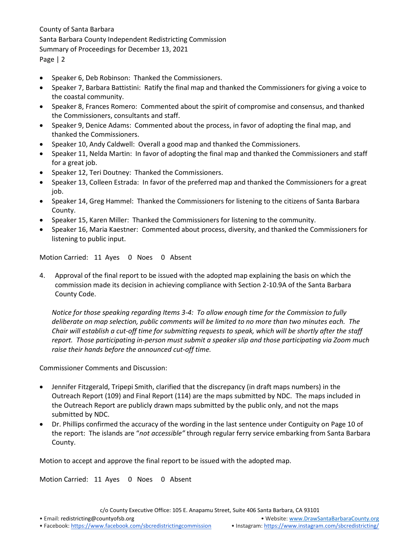County of Santa Barbara Santa Barbara County Independent Redistricting Commission Summary of Proceedings for December 13, 2021 Page | 2

- Speaker 6, Deb Robinson: Thanked the Commissioners.
- Speaker 7, Barbara Battistini: Ratify the final map and thanked the Commissioners for giving a voice to the coastal community.
- Speaker 8, Frances Romero: Commented about the spirit of compromise and consensus, and thanked the Commissioners, consultants and staff.
- Speaker 9, Denice Adams: Commented about the process, in favor of adopting the final map, and thanked the Commissioners.
- Speaker 10, Andy Caldwell: Overall a good map and thanked the Commissioners.
- Speaker 11, Nelda Martin: In favor of adopting the final map and thanked the Commissioners and staff for a great job.
- Speaker 12, Teri Doutney: Thanked the Commissioners.
- Speaker 13, Colleen Estrada: In favor of the preferred map and thanked the Commissioners for a great job.
- Speaker 14, Greg Hammel: Thanked the Commissioners for listening to the citizens of Santa Barbara County.
- Speaker 15, Karen Miller: Thanked the Commissioners for listening to the community.
- Speaker 16, Maria Kaestner: Commented about process, diversity, and thanked the Commissioners for listening to public input.

Motion Carried: 11 Ayes 0 Noes 0 Absent

4. Approval of the final report to be issued with the adopted map explaining the basis on which the commission made its decision in achieving compliance with Section 2-10.9A of the Santa Barbara County Code.

*Notice for those speaking regarding Items 3-4: To allow enough time for the Commission to fully deliberate on map selection, public comments will be limited to no more than two minutes each. The Chair will establish a cut-off time for submitting requests to speak, which will be shortly after the staff report. Those participating in-person must submit a speaker slip and those participating via Zoom much raise their hands before the announced cut-off time.*

Commissioner Comments and Discussion:

- Jennifer Fitzgerald, Tripepi Smith, clarified that the discrepancy (in draft maps numbers) in the Outreach Report (109) and Final Report (114) are the maps submitted by NDC. The maps included in the Outreach Report are publicly drawn maps submitted by the public only, and not the maps submitted by NDC.
- Dr. Phillips confirmed the accuracy of the wording in the last sentence under Contiguity on Page 10 of the report: The islands are "*not accessible"* through regular ferry service embarking from Santa Barbara County.

Motion to accept and approve the final report to be issued with the adopted map.

Motion Carried: 11 Ayes 0 Noes 0 Absent

c/o County Executive Office: 105 E. Anapamu Street, Suite 406 Santa Barbara, CA 93101

• Email[: redistricting@countyofsb.org](mailto:redistricting@countyofsb.org) • Website: [www.DrawSantaBarbaraCounty.org](http://www.drawsantabarbaracounty.org/)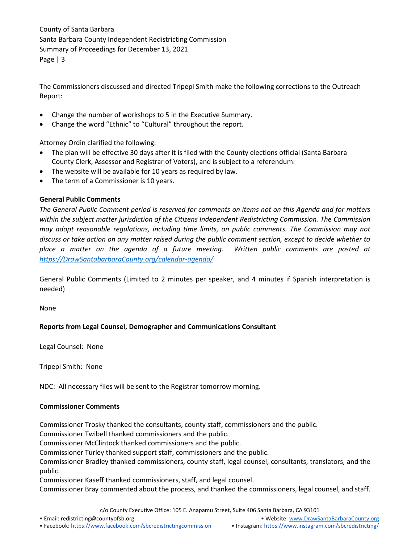County of Santa Barbara Santa Barbara County Independent Redistricting Commission Summary of Proceedings for December 13, 2021 Page | 3

The Commissioners discussed and directed Tripepi Smith make the following corrections to the Outreach Report:

- Change the number of workshops to 5 in the Executive Summary.
- Change the word "Ethnic" to "Cultural" throughout the report.

Attorney Ordin clarified the following:

- The plan will be effective 30 days after it is filed with the County elections official (Santa Barbara County Clerk, Assessor and Registrar of Voters), and is subject to a referendum.
- The website will be available for 10 years as required by law.
- The term of a Commissioner is 10 years.

#### **General Public Comments**

*The General Public Comment period is reserved for comments on items not on this Agenda and for matters within the subject matter jurisdiction of the Citizens Independent Redistricting Commission. The Commission may adopt reasonable regulations, including time limits, on public comments. The Commission may not discuss or take action on any matter raised during the public comment section, except to decide whether to place a matter on the agenda of a future meeting. Written public comments are posted at [https://DrawSantabarbaraCounty.org/calendar-agenda/](https://drawsantabarbaracounty.org/calendar-agenda/)*

General Public Comments (Limited to 2 minutes per speaker, and 4 minutes if Spanish interpretation is needed)

None

#### **Reports from Legal Counsel, Demographer and Communications Consultant**

Legal Counsel: None

Tripepi Smith: None

NDC: All necessary files will be sent to the Registrar tomorrow morning.

#### **Commissioner Comments**

Commissioner Trosky thanked the consultants, county staff, commissioners and the public.

Commissioner Twibell thanked commissioners and the public.

Commissioner McClintock thanked commissioners and the public.

Commissioner Turley thanked support staff, commissioners and the public.

Commissioner Bradley thanked commissioners, county staff, legal counsel, consultants, translators, and the public.

Commissioner Kaseff thanked commissioners, staff, and legal counsel.

Commissioner Bray commented about the process, and thanked the commissioners, legal counsel, and staff.

c/o County Executive Office: 105 E. Anapamu Street, Suite 406 Santa Barbara, CA 93101

• Email[: redistricting@countyofsb.org](mailto:redistricting@countyofsb.org) • Website: [www.DrawSantaBarbaraCounty.org](http://www.drawsantabarbaracounty.org/)

<sup>•</sup> Facebook: <https://www.facebook.com/sbcredistrictingcommission> • Instagram: <https://www.instagram.com/sbcredistricting/>